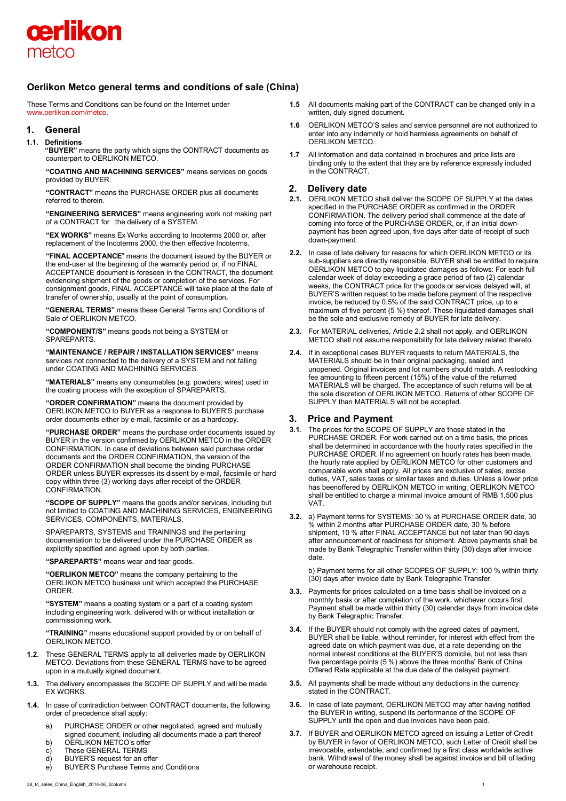

# **Oerlikon Metco general terms and conditions of sale (China)**

These Terms and Conditions can be found on the Internet under [www.oerlikon.com/metco.](http://www.oerlikon.com/metco) 

# **1. General**

## **1.1. Definitions**

**"BUYER"** means the party which signs the CONTRACT documents as counterpart to OERLIKON METCO.

**"COATING AND MACHINING SERVICES"** means services on goods provided by BUYER.

**"CONTRACT"** means the PURCHASE ORDER plus all documents referred to therein.

**"ENGINEERING SERVICES"** means engineering work not making part of a CONTRACT for the delivery of a SYSTEM.

**"EX WORKS"** means Ex Works according to Incoterms 2000 or, after replacement of the Incoterms 2000, the then effective Incoterms.

**"FINAL ACCEPTANCE**" means the document issued by the BUYER or the end-user at the beginning of the warranty period or, if no FINAL ACCEPTANCE document is foreseen in the CONTRACT, the document evidencing shipment of the goods or completion of the services. For consignment goods, FINAL ACCEPTANCE will take place at the date of transfer of ownership, usually at the point of consumption**.**

**"GENERAL TERMS"** means these General Terms and Conditions of Sale of OERLIKON METCO.

**"COMPONENT/S"** means goods not being a SYSTEM or SPAREPARTS.

**"MAINTENANCE / REPAIR / INSTALLATION SERVICES"** means services not connected to the delivery of a SYSTEM and not falling under COATING AND MACHINING SERVICES.

**"MATERIALS"** means any consumables (e.g. powders, wires) used in the coating process with the exception of SPAREPARTS.

**"ORDER CONFIRMATION"** means the document provided by OERLIKON METCO to BUYER as a response to BUYER'S purchase order documents either by e-mail, facsimile or as a hardcopy.

**"PURCHASE ORDER"** means the purchase order documents issued by BUYER in the version confirmed by OERLIKON METCO in the ORDER CONFIRMATION. In case of deviations between said purchase order documents and the ORDER CONFIRMATION, the version of the ORDER CONFIRMATION shall become the binding PURCHASE ORDER unless BUYER expresses its dissent by e-mail, facsimile or hard copy within three (3) working days after receipt of the ORDER **CONFIRMATION** 

**"SCOPE OF SUPPLY"** means the goods and/or services, including but not limited to COATING AND MACHINING SERVICES, ENGINEERING SERVICES, COMPONENTS, MATERIALS,

SPAREPARTS, SYSTEMS and TRAININGS and the pertaining documentation to be delivered under the PURCHASE ORDER as explicitly specified and agreed upon by both parties.

**"SPAREPARTS"** means wear and tear goods.

**"OERLIKON METCO"** means the company pertaining to the OERLIKON METCO business unit which accepted the PURCHASE **ORDER** 

**"SYSTEM"** means a coating system or a part of a coating system including engineering work, delivered with or without installation or commissioning work.

**"TRAINING"** means educational support provided by or on behalf of OERLIKON METCO.

- **1.2.** These GENERAL TERMS apply to all deliveries made by OERLIKON METCO. Deviations from these GENERAL TERMS have to be agreed upon in a mutually signed document.
- **1.3.** The delivery encompasses the SCOPE OF SUPPLY and will be made EX WORKS.
- **1.4.** In case of contradiction between CONTRACT documents, the following order of precedence shall apply:
	- a) PURCHASE ORDER or other negotiated, agreed and mutually signed document, including all documents made a part thereof
	- b) OERLIKON METCO's offer
	- c) These GENERAL TERMS
	- d) BUYER'S request for an offer
	- e) BUYER'S Purchase Terms and Conditions
- **1.5** All documents making part of the CONTRACT can be changed only in a written, duly signed document.
- **1.6** OERLIKON METCO'S sales and service personnel are not authorized to enter into any indemnity or hold harmless agreements on behalf of OERLIKON METCO.
- **1.7** All information and data contained in brochures and price lists are binding only to the extent that they are by reference expressly included in the CONTRACT.

## **2. Delivery date**

- **2.1.** OERLIKON METCO shall deliver the SCOPE OF SUPPLY at the dates specified in the PURCHASE ORDER as confirmed in the ORDER CONFIRMATION. The delivery period shall commence at the date of coming into force of the PURCHASE ORDER, or, if an initial downpayment has been agreed upon, five days after date of receipt of such down-payment.
- **2.2.** In case of late delivery for reasons for which OERLIKON METCO or its sub-suppliers are directly responsible, BUYER shall be entitled to require OERLIKON METCO to pay liquidated damages as follows: For each full calendar week of delay exceeding a grace period of two (2) calendar weeks, the CONTRACT price for the goods or services delayed will, at BUYER'S written request to be made before payment of the respective invoice, be reduced by 0.5% of the said CONTRACT price, up to a maximum of five percent (5 %) thereof. These liquidated damages shall be the sole and exclusive remedy of BUYER for late delivery.
- **2.3.** For MATERIAL deliveries, Article 2.2 shall not apply, and OERLIKON METCO shall not assume responsibility for late delivery related thereto.
- **2.4.** If in exceptional cases BUYER requests to return MATERIALS, the MATERIALS should be in their original packaging, sealed and unopened. Original invoices and lot numbers should match. A restocking fee amounting to fifteen percent (15%) of the value of the returned MATERIALS will be charged. The acceptance of such returns will be at the sole discretion of OERLIKON METCO. Returns of other SCOPE OF SUPPLY than MATERIALS will not be accepted.

# **3. Price and Payment**

- **3.1**. The prices for the SCOPE OF SUPPLY are those stated in the PURCHASE ORDER. For work carried out on a time basis, the prices shall be determined in accordance with the hourly rates specified in the PURCHASE ORDER. If no agreement on hourly rates has been made, the hourly rate applied by OERLIKON METCO for other customers and comparable work shall apply. All prices are exclusive of sales, excise duties, VAT, sales taxes or similar taxes and duties. Unless a lower price has beenoffered by OERLIKON METCO in writing, OERLIKON METCO shall be entitled to charge a minimal invoice amount of RMB 1,500 plus VAT.
- **3.2.** a) Payment terms for SYSTEMS: 30 % at PURCHASE ORDER date, 30 % within 2 months after PURCHASE ORDER date, 30 % before shipment, 10 % after FINAL ACCEPTANCE but not later than 90 days after announcement of readiness for shipment. Above payments shall be made by Bank Telegraphic Transfer within thirty (30) days after invoice date.

b) Payment terms for all other SCOPES OF SUPPLY: 100 % within thirty (30) days after invoice date by Bank Telegraphic Transfer.

- **3.3.** Payments for prices calculated on a time basis shall be invoiced on a monthly basis or after completion of the work, whichever occurs first. Payment shall be made within thirty (30) calendar days from invoice date by Bank Telegraphic Transfer.
- **3.4.** If the BUYER should not comply with the agreed dates of payment, BUYER shall be liable, without reminder, for interest with effect from the agreed date on which payment was due, at a rate depending on the normal interest conditions at the BUYER'S domicile, but not less than five percentage points (5 %) above the three months' Bank of China Offered Rate applicable at the due date of the delayed payment.
- **3.5.** All payments shall be made without any deductions in the currency stated in the CONTRACT.
- **3.6.** In case of late payment, OERLIKON METCO may after having notified the BUYER in writing, suspend its performance of the SCOPE OF SUPPLY until the open and due invoices have been paid.
- **3.7.** If BUYER and OERLIKON METCO agreed on issuing a Letter of Credit by BUYER in favor of OERLIKON METCO, such Letter of Credit shall be irrevocable, extendable, and confirmed by a first class worldwide active bank. Withdrawal of the money shall be against invoice and bill of lading or warehouse receipt.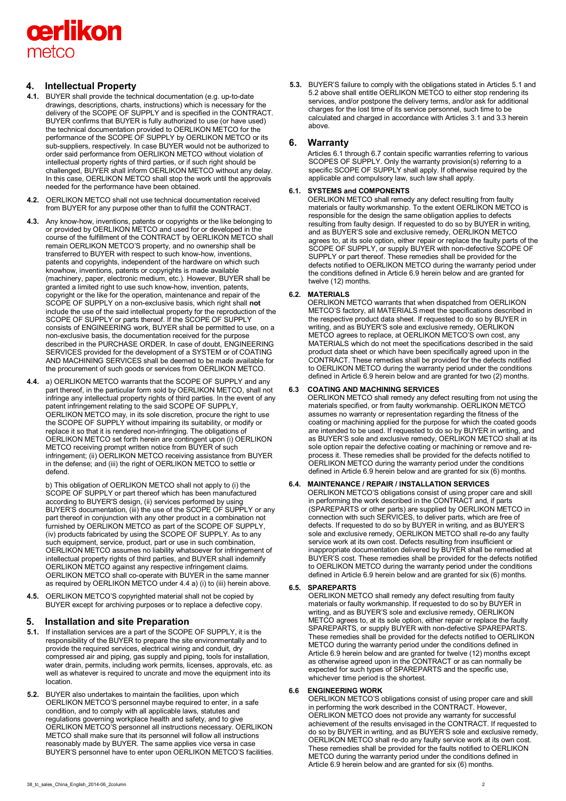

# **4. Intellectual Property**

- **4.1.** BUYER shall provide the technical documentation (e.g. up-to-date drawings, descriptions, charts, instructions) which is necessary for the delivery of the SCOPE OF SUPPLY and is specified in the CONTRACT. BUYER confirms that BUYER is fully authorized to use (or have used) the technical documentation provided to OERLIKON METCO for the performance of the SCOPE OF SUPPLY by OERLIKON METCO or its sub-suppliers, respectively. In case BUYER would not be authorized to order said performance from OERLIKON METCO without violation of intellectual property rights of third parties, or if such right should be challenged, BUYER shall inform OERLIKON METCO without any delay. In this case, OERLIKON METCO shall stop the work until the approvals needed for the performance have been obtained.
- **4.2.** OERLIKON METCO shall not use technical documentation received from BUYER for any purpose other than to fulfill the CONTRACT.
- **4.3.** Any know-how, inventions, patents or copyrights or the like belonging to or provided by OERLIKON METCO and used for or developed in the course of the fulfillment of the CONTRACT by OERLIKON METCO shall remain OERLIKON METCO'S property, and no ownership shall be transferred to BUYER with respect to such know-how, inventions, patents and copyrights, independent of the hardware on which such knowhow, inventions, patents or copyrights is made available (machinery, paper, electronic medium, etc.). However, BUYER shall be granted a limited right to use such know-how, invention, patents, copyright or the like for the operation, maintenance and repair of the SCOPE OF SUPPLY on a non-exclusive basis, which right shall **not** include the use of the said intellectual property for the reproduction of the SCOPE OF SUPPLY or parts thereof. If the SCOPE OF SUPPLY consists of ENGINEERING work, BUYER shall be permitted to use, on a non-exclusive basis, the documentation received for the purpose described in the PURCHASE ORDER. In case of doubt, ENGINEERING SERVICES provided for the development of a SYSTEM or of COATING AND MACHINING SERVICES shall be deemed to be made available for the procurement of such goods or services from OERLIKON METCO.
- **4.4.** a) OERLIKON METCO warrants that the SCOPE OF SUPPLY and any part thereof, in the particular form sold by OERLIKON METCO, shall not infringe any intellectual property rights of third parties. In the event of any patent infringement relating to the said SCOPE OF SUPPLY, OERLIKON METCO may, in its sole discretion, procure the right to use the SCOPE OF SUPPLY without impairing its suitability, or modify or replace it so that it is rendered non-infringing. The obligations of OERLIKON METCO set forth herein are contingent upon (i) OERLIKON METCO receiving prompt written notice from BUYER of such infringement; (ii) OERLIKON METCO receiving assistance from BUYER in the defense; and (iii) the right of OERLIKON METCO to settle or defend.

b) This obligation of OERLIKON METCO shall not apply to (i) the SCOPE OF SUPPLY or part thereof which has been manufactured according to BUYER'S design, (ii) services performed by using BUYER'S documentation, (iii) the use of the SCOPE OF SUPPLY or any part thereof in conjunction with any other product in a combination not furnished by OERLIKON METCO as part of the SCOPE OF SUPPLY, (iv) products fabricated by using the SCOPE OF SUPPLY. As to any such equipment, service, product, part or use in such combination, OERLIKON METCO assumes no liability whatsoever for infringement of intellectual property rights of third parties, and BUYER shall indemnify OERLIKON METCO against any respective infringement claims. OERLIKON METCO shall co-operate with BUYER in the same manner as required by OERLIKON METCO under 4.4 a) (i) to (iii) herein above.

**4.5.** OERLIKON METCO'S copyrighted material shall not be copied by BUYER except for archiving purposes or to replace a defective copy.

# **5. Installation and site Preparation**

- **5.1.** If installation services are a part of the SCOPE OF SUPPLY, it is the responsibility of the BUYER to prepare the site environmentally and to provide the required services, electrical wiring and conduit, dry compressed air and piping, gas supply and piping, tools for installation, water drain, permits, including work permits, licenses, approvals, etc. as well as whatever is required to uncrate and move the equipment into its location.
- **5.2.** BUYER also undertakes to maintain the facilities, upon which OERLIKON METCO'S personnel maybe required to enter, in a safe condition, and to comply with all applicable laws, statutes and regulations governing workplace health and safety, and to give OERLIKON METCO'S personnel all instructions necessary. OERLIKON METCO shall make sure that its personnel will follow all instructions reasonably made by BUYER. The same applies vice versa in case BUYER'S personnel have to enter upon OERLIKON METCO'S facilities.

**5.3.** BUYER'S failure to comply with the obligations stated in Articles 5.1 and 5.2 above shall entitle OERLIKON METCO to either stop rendering its services, and/or postpone the delivery terms, and/or ask for additional charges for the lost time of its service personnel, such time to be calculated and charged in accordance with Articles 3.1 and 3.3 herein above.

# **6. Warranty**

Articles 6.1 through 6.7 contain specific warranties referring to various SCOPES OF SUPPLY. Only the warranty provision(s) referring to a specific SCOPE OF SUPPLY shall apply. If otherwise required by the applicable and compulsory law, such law shall apply.

# **6.1. SYSTEMS and COMPONENTS**

OERLIKON METCO shall remedy any defect resulting from faulty materials or faulty workmanship. To the extent OERLIKON METCO is responsible for the design the same obligation applies to defects resulting from faulty design. If requested to do so by BUYER in writing, and as BUYER'S sole and exclusive remedy, OERLIKON METCO agrees to, at its sole option, either repair or replace the faulty parts of the SCOPE OF SUPPLY, or supply BUYER with non-defective SCOPE OF SUPPLY or part thereof. These remedies shall be provided for the defects notified to OERLIKON METCO during the warranty period under the conditions defined in Article 6.9 herein below and are granted for twelve (12) months.

# **6.2. MATERIALS**

OERLIKON METCO warrants that when dispatched from OERLIKON METCO'S factory, all MATERIALS meet the specifications described in the respective product data sheet. If requested to do so by BUYER in writing, and as BUYER'S sole and exclusive remedy, OERLIKON METCO agrees to replace, at OERLIKON METCO'S own cost, any MATERIALS which do not meet the specifications described in the said product data sheet or which have been specifically agreed upon in the CONTRACT. These remedies shall be provided for the defects notified to OERLIKON METCO during the warranty period under the conditions defined in Article 6.9 herein below and are granted for two (2) months.

## **6.3 COATING AND MACHINING SERVICES**

OERLIKON METCO shall remedy any defect resulting from not using the materials specified, or from faulty workmanship. OERLIKON METCO assumes no warranty or representation regarding the fitness of the coating or machining applied for the purpose for which the coated goods are intended to be used. If requested to do so by BUYER in writing, and as BUYER'S sole and exclusive remedy, OERLIKON METCO shall at its sole option repair the defective coating or machining or remove and reprocess it. These remedies shall be provided for the defects notified to OERLIKON METCO during the warranty period under the conditions defined in Article 6.9 herein below and are granted for six (6) months.

# **6.4. MAINTENANCE / REPAIR / INSTALLATION SERVICES**

OERLIKON METCO'S obligations consist of using proper care and skill in performing the work described in the CONTRACT and, if parts (SPAREPARTS or other parts) are supplied by OERLIKON METCO in connection with such SERVICES, to deliver parts, which are free of defects. If requested to do so by BUYER in writing, and as BUYER'S sole and exclusive remedy, OERLIKON METCO shall re-do any faulty service work at its own cost. Defects resulting from insufficient or inappropriate documentation delivered by BUYER shall be remedied at BUYER'S cost. These remedies shall be provided for the defects notified to OERLIKON METCO during the warranty period under the conditions defined in Article 6.9 herein below and are granted for six (6) months.

## **6.5. SPAREPARTS**

OERLIKON METCO shall remedy any defect resulting from faulty materials or faulty workmanship. If requested to do so by BUYER in writing, and as BUYER'S sole and exclusive remedy, OERLIKON METCO agrees to, at its sole option, either repair or replace the faulty SPAREPARTS, or supply BUYER with non-defective SPAREPARTS. These remedies shall be provided for the defects notified to OERLIKON METCO during the warranty period under the conditions defined in Article 6.9 herein below and are granted for twelve (12) months except as otherwise agreed upon in the CONTRACT or as can normally be expected for such types of SPAREPARTS and the specific use, whichever time period is the shortest.

## **6.6 ENGINEERING WORK**

OERLIKON METCO'S obligations consist of using proper care and skill in performing the work described in the CONTRACT. However, OERLIKON METCO does not provide any warranty for successful achievement of the results envisaged in the CONTRACT. If requested to do so by BUYER in writing, and as BUYER'S sole and exclusive remedy, OERLIKON METCO shall re-do any faulty service work at its own cost. These remedies shall be provided for the faults notified to OERLIKON METCO during the warranty period under the conditions defined in Article 6.9 herein below and are granted for six (6) months.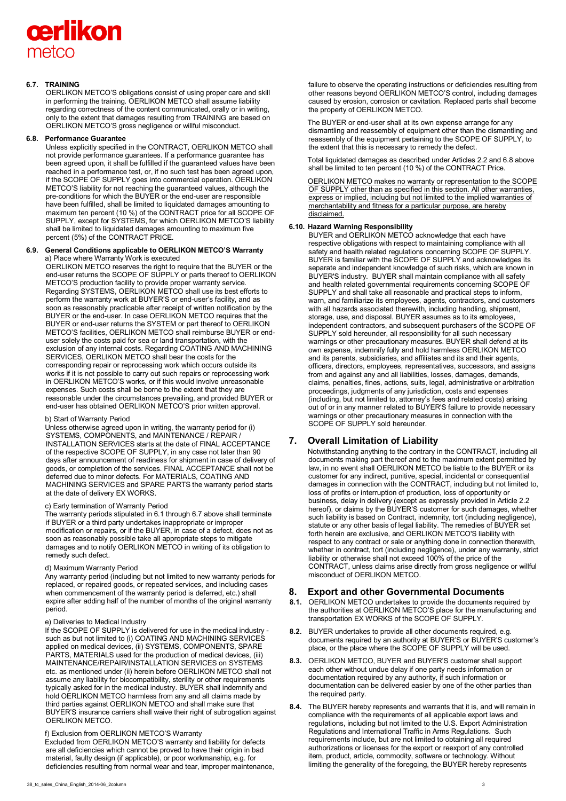# cerlikon metco

## **6.7. TRAINING**

OERLIKON METCO'S obligations consist of using proper care and skill in performing the training. OERLIKON METCO shall assume liability regarding correctness of the content communicated, orally or in writing, only to the extent that damages resulting from TRAINING are based on OERLIKON METCO'S gross negligence or willful misconduct.

## **6.8. Performance Guarantee**

Unless explicitly specified in the CONTRACT, OERLIKON METCO shall not provide performance guarantees. If a performance guarantee has been agreed upon, it shall be fulfilled if the guaranteed values have been reached in a performance test, or, if no such test has been agreed upon, if the SCOPE OF SUPPLY goes into commercial operation. OERLIKON METCO'S liability for not reaching the guaranteed values, although the pre-conditions for which the BUYER or the end-user are responsible have been fulfilled, shall be limited to liquidated damages amounting to maximum ten percent (10 %) of the CONTRACT price for all SCOPE OF SUPPLY, except for SYSTEMS, for which OERLIKON METCO'S liability shall be limited to liquidated damages amounting to maximum five percent (5%) of the CONTRACT PRICE.

#### **6.9. General Conditions applicable to OERLIKON METCO'S Warranty**  a) Place where Warranty Work is executed

OERLIKON METCO reserves the right to require that the BUYER or the end-user returns the SCOPE OF SUPPLY or parts thereof to OERLIKON METCO'S production facility to provide proper warranty service. Regarding SYSTEMS, OERLIKON METCO shall use its best efforts to perform the warranty work at BUYER'S or end-user's facility, and as soon as reasonably practicable after receipt of written notification by the BUYER or the end-user. In case OERLIKON METCO requires that the BUYER or end-user returns the SYSTEM or part thereof to OERLIKON METCO'S facilities, OERLIKON METCO shall reimburse BUYER or enduser solely the costs paid for sea or land transportation, with the exclusion of any internal costs. Regarding COATING AND MACHINING SERVICES, OERLIKON METCO shall bear the costs for the corresponding repair or reprocessing work which occurs outside its works if it is not possible to carry out such repairs or reprocessing work in OERLIKON METCO'S works, or if this would involve unreasonable expenses. Such costs shall be borne to the extent that they are reasonable under the circumstances prevailing, and provided BUYER or end-user has obtained OERLIKON METCO'S prior written approval.

#### b) Start of Warranty Period

Unless otherwise agreed upon in writing, the warranty period for (i) SYSTEMS, COMPONENTS, and MAINTENANCE / REPAIR / INSTALLATION SERVICES starts at the date of FINAL ACCEPTANCE of the respective SCOPE OF SUPPLY, in any case not later than 90 days after announcement of readiness for shipment in case of delivery of goods, or completion of the services. FINAL ACCEPTANCE shall not be deferred due to minor defects. For MATERIALS, COATING AND MACHINING SERVICES and SPARE PARTS the warranty period starts at the date of delivery EX WORKS.

## c) Early termination of Warranty Period

The warranty periods stipulated in 6.1 through 6.7 above shall terminate if BUYER or a third party undertakes inappropriate or improper modification or repairs, or if the BUYER, in case of a defect, does not as soon as reasonably possible take all appropriate steps to mitigate damages and to notify OERLIKON METCO in writing of its obligation to remedy such defect.

#### d) Maximum Warranty Period

Any warranty period (including but not limited to new warranty periods for replaced, or repaired goods, or repeated services, and including cases when commencement of the warranty period is deferred, etc.) shall expire after adding half of the number of months of the original warranty period.

## e) Deliveries to Medical Industry

If the SCOPE OF SUPPLY is delivered for use in the medical industry such as but not limited to (i) COATING AND MACHINING SERVICES applied on medical devices, (ii) SYSTEMS, COMPONENTS, SPARE PARTS, MATERIALS used for the production of medical devices, (iii) MAINTENANCE/REPAIR/INSTALLATION SERVICES on SYSTEMS etc. as mentioned under (ii) herein before OERLIKON METCO shall not assume any liability for biocompatibility, sterility or other requirements typically asked for in the medical industry. BUYER shall indemnify and hold OERLIKON METCO harmless from any and all claims made by third parties against OERLIKON METCO and shall make sure that BUYER'S insurance carriers shall waive their right of subrogation against OERLIKON METCO.

## f) Exclusion from OERLIKON METCO'S Warranty

Excluded from OERLIKON METCO'S warranty and liability for defects are all deficiencies which cannot be proved to have their origin in bad material, faulty design (if applicable), or poor workmanship, e.g. for deficiencies resulting from normal wear and tear, improper maintenance, failure to observe the operating instructions or deficiencies resulting from other reasons beyond OERLIKON METCO'S control, including damages caused by erosion, corrosion or cavitation. Replaced parts shall become the property of OERLIKON METCO.

The BUYER or end-user shall at its own expense arrange for any dismantling and reassembly of equipment other than the dismantling and reassembly of the equipment pertaining to the SCOPE OF SUPPLY, to the extent that this is necessary to remedy the defect.

Total liquidated damages as described under Articles 2.2 and 6.8 above shall be limited to ten percent (10 %) of the CONTRACT Price.

OERLIKON METCO makes no warranty or representation to the SCOPE OF SUPPLY other than as specified in this section. All other warranties, express or implied, including but not limited to the implied warranties of merchantability and fitness for a particular purpose, are hereby disclaimed.

## **6.10. Hazard Warning Responsibility**

BUYER and OERLIKON METCO acknowledge that each have respective obligations with respect to maintaining compliance with all safety and health related regulations concerning SCOPE OF SUPPLY. BUYER is familiar with the SCOPE OF SUPPLY and acknowledges its separate and independent knowledge of such risks, which are known in BUYER'S industry. BUYER shall maintain compliance with all safety and health related governmental requirements concerning SCOPE OF SUPPLY and shall take all reasonable and practical steps to inform, warn, and familiarize its employees, agents, contractors, and customers with all hazards associated therewith, including handling, shipment, storage, use, and disposal. BUYER assumes as to its employees, independent contractors, and subsequent purchasers of the SCOPE OF SUPPLY sold hereunder, all responsibility for all such necessary warnings or other precautionary measures. BUYER shall defend at its own expense, indemnify fully and hold harmless OERLIKON METCO and its parents, subsidiaries, and affiliates and its and their agents, officers, directors, employees, representatives, successors, and assigns from and against any and all liabilities, losses, damages, demands, claims, penalties, fines, actions, suits, legal, administrative or arbitration proceedings, judgments of any jurisdiction, costs and expenses (including, but not limited to, attorney's fees and related costs) arising out of or in any manner related to BUYER'S failure to provide necessary warnings or other precautionary measures in connection with the SCOPE OF SUPPLY sold hereunder.

# **7. Overall Limitation of Liability**

Notwithstanding anything to the contrary in the CONTRACT, including all documents making part thereof and to the maximum extent permitted by law, in no event shall OERLIKON METCO be liable to the BUYER or its customer for any indirect, punitive, special, incidental or consequential damages in connection with the CONTRACT, including but not limited to, loss of profits or interruption of production, loss of opportunity or business, delay in delivery (except as expressly provided in Article 2.2 hereof), or claims by the BUYER'S customer for such damages, whether such liability is based on Contract, indemnity, tort (including negligence), statute or any other basis of legal liability. The remedies of BUYER set forth herein are exclusive, and OERLIKON METCO'S liability with respect to any contract or sale or anything done in connection therewith, whether in contract, tort (including negligence), under any warranty, strict liability or otherwise shall not exceed 100% of the price of the CONTRACT, unless claims arise directly from gross negligence or willful misconduct of OERLIKON METCO.

# **8. Export and other Governmental Documents**

- **8.1.** OERLIKON METCO undertakes to provide the documents required by the authorities at OERLIKON METCO'S place for the manufacturing and transportation EX WORKS of the SCOPE OF SUPPLY.
- **8.2.** BUYER undertakes to provide all other documents required, e.g. documents required by an authority at BUYER'S or BUYER'S customer's place, or the place where the SCOPE OF SUPPLY will be used.
- **8.3.** OERLIKON METCO, BUYER and BUYER'S customer shall support each other without undue delay if one party needs information or documentation required by any authority, if such information or documentation can be delivered easier by one of the other parties than the required party.
- **8.4.** The BUYER hereby represents and warrants that it is, and will remain in compliance with the requirements of all applicable export laws and regulations, including but not limited to the U.S. Export Administration Regulations and International Traffic in Arms Regulations. Such requirements include, but are not limited to obtaining all required authorizations or licenses for the export or reexport of any controlled item, product, article, commodity, software or technology. Without limiting the generality of the foregoing, the BUYER hereby represents